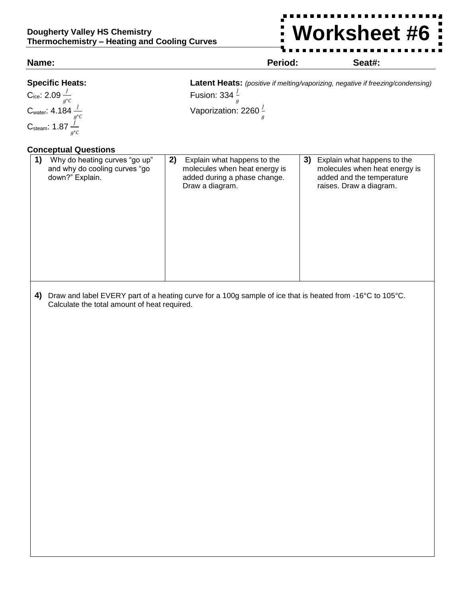**Worksheet #6**

 $\frac{1}{2}$ 

| <b>Specific Heats:</b><br>Latent Heats: (positive if melting/vaporizing, negative if freezing/condensing)<br>Cice: 2.09 $\frac{1}{g^{\circ}c}$<br>Cwater: 4.184 $\frac{1}{g^{\circ}c}$<br>Csteam: 1.87 $\frac{1}{g^{\circ}c}$<br>Fusion: 334 $\frac{1}{g}$<br>Vaporization: 2260 $\frac{1}{a}$<br><b>Conceptual Questions</b><br>2)<br>1)<br>Why do heating curves "go up"<br>Explain what happens to the<br>3) Explain what happens to the<br>and why do cooling curves "go<br>molecules when heat energy is<br>down?" Explain.<br>added during a phase change.<br>added and the temperature<br>Draw a diagram.<br>raises. Draw a diagram.<br>Draw and label EVERY part of a heating curve for a 100g sample of ice that is heated from -16°C to 105°C.<br>4)<br>Calculate the total amount of heat required. | Name: |  | Period: | Seat#:                        |
|----------------------------------------------------------------------------------------------------------------------------------------------------------------------------------------------------------------------------------------------------------------------------------------------------------------------------------------------------------------------------------------------------------------------------------------------------------------------------------------------------------------------------------------------------------------------------------------------------------------------------------------------------------------------------------------------------------------------------------------------------------------------------------------------------------------|-------|--|---------|-------------------------------|
|                                                                                                                                                                                                                                                                                                                                                                                                                                                                                                                                                                                                                                                                                                                                                                                                                |       |  |         |                               |
|                                                                                                                                                                                                                                                                                                                                                                                                                                                                                                                                                                                                                                                                                                                                                                                                                |       |  |         |                               |
|                                                                                                                                                                                                                                                                                                                                                                                                                                                                                                                                                                                                                                                                                                                                                                                                                |       |  |         |                               |
|                                                                                                                                                                                                                                                                                                                                                                                                                                                                                                                                                                                                                                                                                                                                                                                                                |       |  |         |                               |
|                                                                                                                                                                                                                                                                                                                                                                                                                                                                                                                                                                                                                                                                                                                                                                                                                |       |  |         |                               |
|                                                                                                                                                                                                                                                                                                                                                                                                                                                                                                                                                                                                                                                                                                                                                                                                                |       |  |         | molecules when heat energy is |
|                                                                                                                                                                                                                                                                                                                                                                                                                                                                                                                                                                                                                                                                                                                                                                                                                |       |  |         |                               |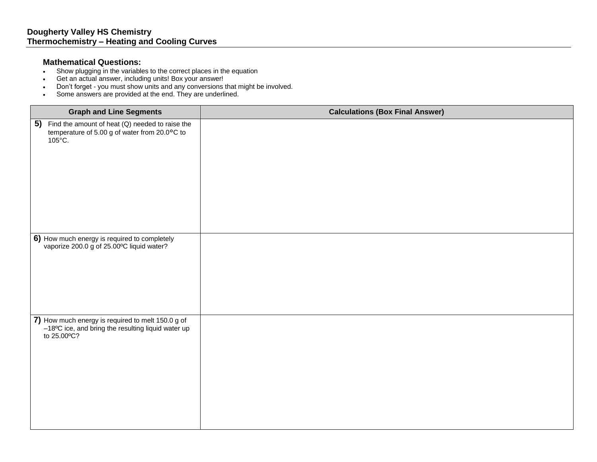## **Mathematical Questions:**

- Show plugging in the variables to the correct places in the equation
- Get an actual answer, including units! Box your answer!
- Don't forget you must show units and any conversions that might be involved.
- Some answers are provided at the end. They are underlined.

| <b>Graph and Line Segments</b>                                                                                                | <b>Calculations (Box Final Answer)</b> |
|-------------------------------------------------------------------------------------------------------------------------------|----------------------------------------|
| 5) Find the amount of heat $(Q)$ needed to raise the<br>temperature of 5.00 g of water from 20.0°C to<br>$105^{\circ}$ C.     |                                        |
| 6) How much energy is required to completely<br>vaporize 200.0 g of 25.00°C liquid water?                                     |                                        |
|                                                                                                                               |                                        |
|                                                                                                                               |                                        |
| 7) How much energy is required to melt 150.0 g of $-18^{\circ}$ C ice, and bring the resulting liquid water up<br>to 25.00°C? |                                        |
|                                                                                                                               |                                        |
|                                                                                                                               |                                        |
|                                                                                                                               |                                        |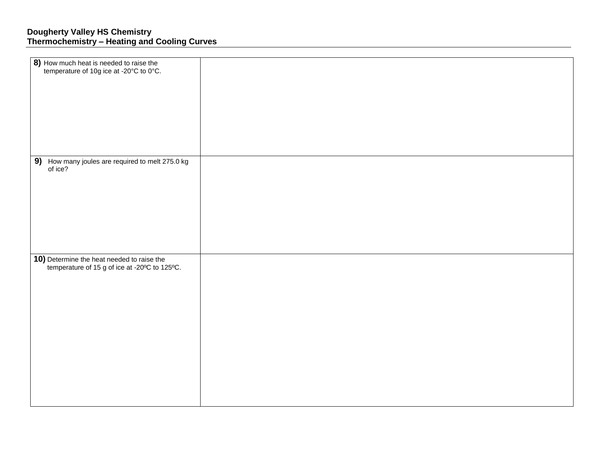| <b>8)</b> How much heat is needed to raise the temperature of 10g ice at -20 $^{\circ}$ C to 0 $^{\circ}$ C.             |  |
|--------------------------------------------------------------------------------------------------------------------------|--|
| 9) How many joules are required to melt 275.0 kg<br>of ice?                                                              |  |
| <b>10)</b> Determine the heat needed to raise the<br>temperature of 15 g of ice at -20 $^{\circ}$ C to 125 $^{\circ}$ C. |  |